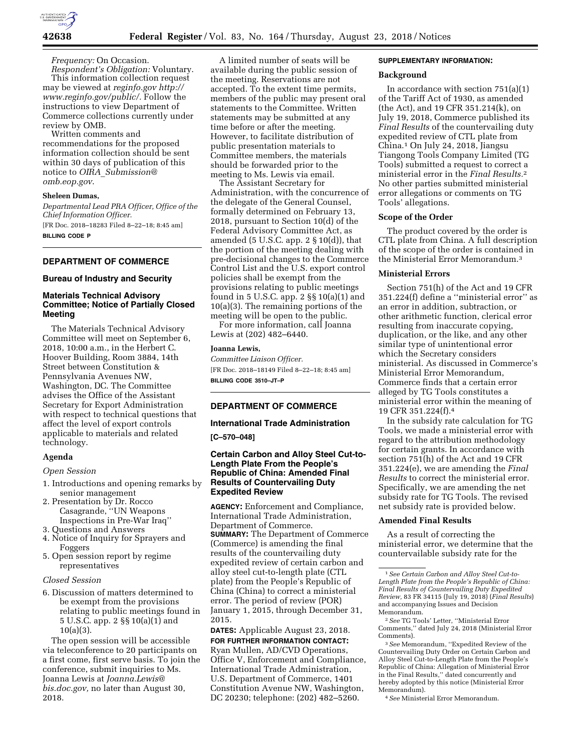

*Frequency:* On Occasion. *Respondent's Obligation:* Voluntary.

This information collection request may be viewed at *reginfo.gov [http://](http://www.reginfo.gov/public/) [www.reginfo.gov/public/.](http://www.reginfo.gov/public/)* Follow the instructions to view Department of Commerce collections currently under review by OMB.

Written comments and recommendations for the proposed information collection should be sent within 30 days of publication of this notice to *OIRA*\_*[Submission@](mailto:OIRA_Submission@omb.eop.gov) [omb.eop.gov](mailto:OIRA_Submission@omb.eop.gov)*.

#### **Sheleen Dumas,**

*Departmental Lead PRA Officer, Office of the Chief Information Officer.*  [FR Doc. 2018–18283 Filed 8–22–18; 8:45 am] **BILLING CODE P** 

# **DEPARTMENT OF COMMERCE**

#### **Bureau of Industry and Security**

# **Materials Technical Advisory Committee; Notice of Partially Closed Meeting**

The Materials Technical Advisory Committee will meet on September 6, 2018, 10:00 a.m., in the Herbert C. Hoover Building, Room 3884, 14th Street between Constitution & Pennsylvania Avenues NW, Washington, DC. The Committee advises the Office of the Assistant Secretary for Export Administration with respect to technical questions that affect the level of export controls applicable to materials and related technology.

#### **Agenda**

#### *Open Session*

- 1. Introductions and opening remarks by senior management
- 2. Presentation by Dr. Rocco Casagrande, ''UN Weapons Inspections in Pre-War Iraq''
- 3. Questions and Answers
- 4. Notice of Inquiry for Sprayers and Foggers
- 5. Open session report by regime representatives

#### *Closed Session*

6. Discussion of matters determined to be exempt from the provisions relating to public meetings found in 5 U.S.C. app. 2 §§ 10(a)(1) and 10(a)(3).

The open session will be accessible via teleconference to 20 participants on a first come, first serve basis. To join the conference, submit inquiries to Ms. Joanna Lewis at *[Joanna.Lewis@](mailto:Joanna.Lewis@bis.doc.gov) [bis.doc.gov,](mailto:Joanna.Lewis@bis.doc.gov)* no later than August 30, 2018.

A limited number of seats will be available during the public session of the meeting. Reservations are not accepted. To the extent time permits, members of the public may present oral statements to the Committee. Written statements may be submitted at any time before or after the meeting. However, to facilitate distribution of public presentation materials to Committee members, the materials should be forwarded prior to the meeting to Ms. Lewis via email.

The Assistant Secretary for Administration, with the concurrence of the delegate of the General Counsel, formally determined on February 13, 2018, pursuant to Section 10(d) of the Federal Advisory Committee Act, as amended (5 U.S.C. app. 2 § 10(d)), that the portion of the meeting dealing with pre-decisional changes to the Commerce Control List and the U.S. export control policies shall be exempt from the provisions relating to public meetings found in 5 U.S.C. app. 2 §§ 10(a)(1) and 10(a)(3). The remaining portions of the meeting will be open to the public.

For more information, call Joanna Lewis at (202) 482–6440.

#### **Joanna Lewis,**

*Committee Liaison Officer.*  [FR Doc. 2018–18149 Filed 8–22–18; 8:45 am] **BILLING CODE 3510–JT–P** 

# **DEPARTMENT OF COMMERCE**

# **International Trade Administration**

**[C–570–048]** 

# **Certain Carbon and Alloy Steel Cut-to-Length Plate From the People's Republic of China: Amended Final Results of Countervailing Duty Expedited Review**

**AGENCY:** Enforcement and Compliance, International Trade Administration, Department of Commerce. **SUMMARY:** The Department of Commerce (Commerce) is amending the final results of the countervailing duty expedited review of certain carbon and alloy steel cut-to-length plate (CTL plate) from the People's Republic of China (China) to correct a ministerial error. The period of review (POR) January 1, 2015, through December 31, 2015.

**DATES:** Applicable August 23, 2018. **FOR FURTHER INFORMATION CONTACT:** 

Ryan Mullen, AD/CVD Operations, Office V, Enforcement and Compliance, International Trade Administration, U.S. Department of Commerce, 1401 Constitution Avenue NW, Washington, DC 20230; telephone: (202) 482–5260.

## **SUPPLEMENTARY INFORMATION:**

#### **Background**

In accordance with section 751(a)(1) of the Tariff Act of 1930, as amended (the Act), and 19 CFR 351.214(k), on July 19, 2018, Commerce published its *Final Results* of the countervailing duty expedited review of CTL plate from China.1 On July 24, 2018, Jiangsu Tiangong Tools Company Limited (TG Tools) submitted a request to correct a ministerial error in the *Final Results.*2 No other parties submitted ministerial error allegations or comments on TG Tools' allegations.

# **Scope of the Order**

The product covered by the order is CTL plate from China. A full description of the scope of the order is contained in the Ministerial Error Memorandum.3

#### **Ministerial Errors**

Section 751(h) of the Act and 19 CFR 351.224(f) define a ''ministerial error'' as an error in addition, subtraction, or other arithmetic function, clerical error resulting from inaccurate copying, duplication, or the like, and any other similar type of unintentional error which the Secretary considers ministerial. As discussed in Commerce's Ministerial Error Memorandum, Commerce finds that a certain error alleged by TG Tools constitutes a ministerial error within the meaning of 19 CFR 351.224(f).4

In the subsidy rate calculation for TG Tools, we made a ministerial error with regard to the attribution methodology for certain grants. In accordance with section 751(h) of the Act and 19 CFR 351.224(e), we are amending the *Final Results* to correct the ministerial error. Specifically, we are amending the net subsidy rate for TG Tools. The revised net subsidy rate is provided below.

#### **Amended Final Results**

As a result of correcting the ministerial error, we determine that the countervailable subsidy rate for the

2*See* TG Tools' Letter, ''Ministerial Error Comments,'' dated July 24, 2018 (Ministerial Error Comments).

3*See* Memorandum, ''Expedited Review of the Countervailing Duty Order on Certain Carbon and Alloy Steel Cut-to-Length Plate from the People's Republic of China: Allegation of Ministerial Error in the Final Results,'' dated concurrently and hereby adopted by this notice (Ministerial Error Memorandum).

4*See* Ministerial Error Memorandum.

<sup>1</sup>*See Certain Carbon and Alloy Steel Cut-to-Length Plate from the People's Republic of China: Final Results of Countervailing Duty Expedited Review,* 83 FR 34115 (July 19, 2018) (*Final Results*) and accompanying Issues and Decision Memorandum.